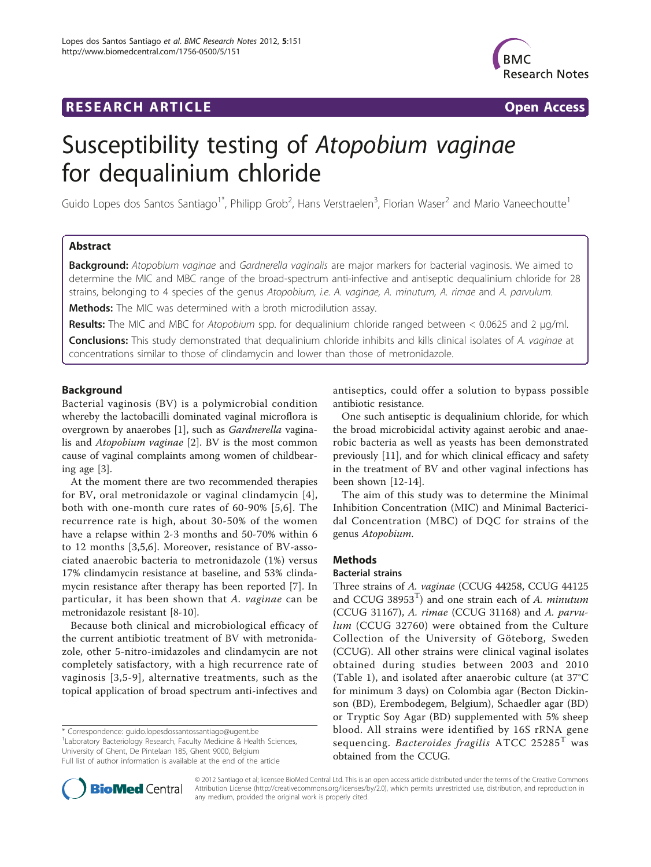# **RESEARCH ARTICLE Example 2018 12:00 Department of the CONNECTION CONNECTION CONNECTION CONNECTION**



# Susceptibility testing of Atopobium vaginae for dequalinium chloride

Guido Lopes dos Santos Santiago<sup>1\*</sup>, Philipp Grob<sup>2</sup>, Hans Verstraelen<sup>3</sup>, Florian Waser<sup>2</sup> and Mario Vaneechoutte<sup>1</sup>

# Abstract

Background: Atopobium vaginge and Gardnerella vaginalis are major markers for bacterial vaginosis. We aimed to determine the MIC and MBC range of the broad-spectrum anti-infective and antiseptic dequalinium chloride for 28 strains, belonging to 4 species of the genus Atopobium, i.e. A. vaginae, A. minutum, A. rimae and A. parvulum.

Methods: The MIC was determined with a broth microdilution assay.

Results: The MIC and MBC for Atopobium spp. for dequalinium chloride ranged between < 0.0625 and 2 μg/ml.

**Conclusions:** This study demonstrated that dequalinium chloride inhibits and kills clinical isolates of A. vaginae at concentrations similar to those of clindamycin and lower than those of metronidazole.

# Background

Bacterial vaginosis (BV) is a polymicrobial condition whereby the lactobacilli dominated vaginal microflora is overgrown by anaerobes [[1](#page-3-0)], such as Gardnerella vaginalis and Atopobium vaginae [\[2](#page-3-0)]. BV is the most common cause of vaginal complaints among women of childbearing age [\[3](#page-3-0)].

At the moment there are two recommended therapies for BV, oral metronidazole or vaginal clindamycin [[4](#page-3-0)], both with one-month cure rates of 60-90% [[5,6](#page-3-0)]. The recurrence rate is high, about 30-50% of the women have a relapse within 2-3 months and 50-70% within 6 to 12 months [[3,5,6](#page-3-0)]. Moreover, resistance of BV-associated anaerobic bacteria to metronidazole (1%) versus 17% clindamycin resistance at baseline, and 53% clindamycin resistance after therapy has been reported [[7\]](#page-3-0). In particular, it has been shown that A. vaginae can be metronidazole resistant [[8-10\]](#page-3-0).

Because both clinical and microbiological efficacy of the current antibiotic treatment of BV with metronidazole, other 5-nitro-imidazoles and clindamycin are not completely satisfactory, with a high recurrence rate of vaginosis [[3](#page-3-0),[5](#page-3-0)-[9](#page-3-0)], alternative treatments, such as the topical application of broad spectrum anti-infectives and

\* Correspondence: [guido.lopesdossantossantiago@ugent.be](mailto:guido.lopesdossantossantiago@ugent.be)

<sup>1</sup> Laboratory Bacteriology Research, Faculty Medicine & Health Sciences, University of Ghent, De Pintelaan 185, Ghent 9000, Belgium

Full list of author information is available at the end of the article



One such antiseptic is dequalinium chloride, for which the broad microbicidal activity against aerobic and anaerobic bacteria as well as yeasts has been demonstrated previously [[11](#page-3-0)], and for which clinical efficacy and safety in the treatment of BV and other vaginal infections has been shown [[12-14](#page-3-0)].

The aim of this study was to determine the Minimal Inhibition Concentration (MIC) and Minimal Bactericidal Concentration (MBC) of DQC for strains of the genus Atopobium.

# Methods

#### Bacterial strains

Three strains of A. vaginae (CCUG 44258, CCUG 44125 and CCUG 38953<sup>T</sup>) and one strain each of A. minutum (CCUG 31167), A. rimae (CCUG 31168) and A. parvulum (CCUG 32760) were obtained from the Culture Collection of the University of Göteborg, Sweden (CCUG). All other strains were clinical vaginal isolates obtained during studies between 2003 and 2010 (Table [1](#page-1-0)), and isolated after anaerobic culture (at 37°C for minimum 3 days) on Colombia agar (Becton Dickinson (BD), Erembodegem, Belgium), Schaedler agar (BD) or Tryptic Soy Agar (BD) supplemented with 5% sheep blood. All strains were identified by 16S rRNA gene sequencing. Bacteroides fragilis  $ATCC$  25285<sup>T</sup> was obtained from the CCUG.



© 2012 Santiago et al; licensee BioMed Central Ltd. This is an open access article distributed under the terms of the Creative Commons Attribution License [\(http://creativecommons.org/licenses/by/2.0](http://creativecommons.org/licenses/by/2.0)), which permits unrestricted use, distribution, and reproduction in any medium, provided the original work is properly cited.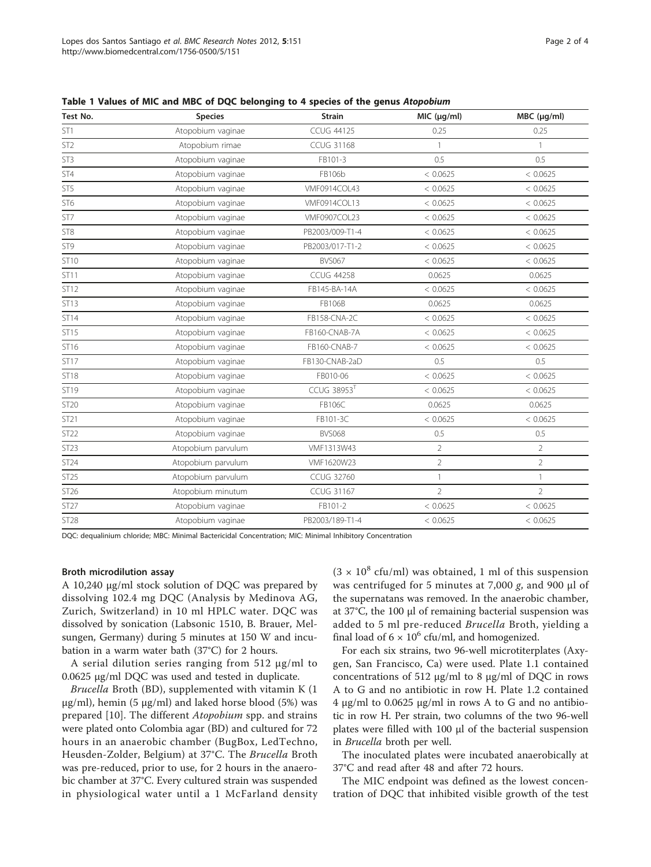| Test No.        | <b>Species</b>     | <b>Strain</b>           | MIC (µg/ml)    | $MBC$ ( $\mu$ g/ml) |
|-----------------|--------------------|-------------------------|----------------|---------------------|
| ST <sub>1</sub> | Atopobium vaginae  | <b>CCUG 44125</b>       | 0.25           | 0.25                |
| ST <sub>2</sub> | Atopobium rimae    | <b>CCUG 31168</b>       | $\mathbf{1}$   | $\mathbf{1}$        |
| ST <sub>3</sub> | Atopobium vaginae  | FB101-3                 | 0.5            | 0.5                 |
| ST4             | Atopobium vaginae  | FB106b                  | < 0.0625       | < 0.0625            |
| ST5             | Atopobium vaginae  | VMF0914COL43            | < 0.0625       | < 0.0625            |
| ST <sub>6</sub> | Atopobium vaginae  | VMF0914COL13            | < 0.0625       | < 0.0625            |
| ST7             | Atopobium vaginae  | VMF0907COL23            | < 0.0625       | < 0.0625            |
| ST <sub>8</sub> | Atopobium vaginae  | PB2003/009-T1-4         | < 0.0625       | < 0.0625            |
| ST9             | Atopobium vaginae  | PB2003/017-T1-2         | < 0.0625       | < 0.0625            |
| ST10            | Atopobium vaginae  | <b>BVS067</b>           | < 0.0625       | < 0.0625            |
| ST11            | Atopobium vaginae  | <b>CCUG 44258</b>       | 0.0625         | 0.0625              |
| ST12            | Atopobium vaginae  | FB145-BA-14A            | < 0.0625       | < 0.0625            |
| ST13            | Atopobium vaginae  | <b>FB106B</b>           | 0.0625         | 0.0625              |
| ST14            | Atopobium vaginae  | FB158-CNA-2C            | < 0.0625       | < 0.0625            |
| ST15            | Atopobium vaginae  | FB160-CNAB-7A           | < 0.0625       | < 0.0625            |
| ST16            | Atopobium vaginae  | FB160-CNAB-7            | < 0.0625       | < 0.0625            |
| ST17            | Atopobium vaginae  | FB130-CNAB-2aD          | 0.5            | 0.5                 |
| <b>ST18</b>     | Atopobium vaginae  | FB010-06                | < 0.0625       | < 0.0625            |
| ST19            | Atopobium vaginae  | CCUG 38953 <sup>T</sup> | < 0.0625       | < 0.0625            |
| <b>ST20</b>     | Atopobium vaginae  | FB106C                  | 0.0625         | 0.0625              |
| ST21            | Atopobium vaginae  | FB101-3C                | < 0.0625       | < 0.0625            |
| ST22            | Atopobium vaginae  | <b>BVS068</b>           | 0.5            | 0.5                 |
| <b>ST23</b>     | Atopobium parvulum | VMF1313W43              | $\overline{2}$ | $\overline{2}$      |
| ST24            | Atopobium parvulum | VMF1620W23              | $\overline{2}$ | $\overline{2}$      |
| ST25            | Atopobium parvulum | <b>CCUG 32760</b>       | $\mathbf{1}$   | $\mathbf{1}$        |
| ST26            | Atopobium minutum  | <b>CCUG 31167</b>       | $\overline{2}$ | $\overline{2}$      |
| ST27            | Atopobium vaginae  | FB101-2                 | < 0.0625       | < 0.0625            |
| <b>ST28</b>     | Atopobium vaginae  | PB2003/189-T1-4         | < 0.0625       | < 0.0625            |

<span id="page-1-0"></span>Table 1 Values of MIC and MBC of DQC belonging to 4 species of the genus Atopobium

DQC: dequalinium chloride; MBC: Minimal Bactericidal Concentration; MIC: Minimal Inhibitory Concentration

#### Broth microdilution assay

A 10,240 μg/ml stock solution of DQC was prepared by dissolving 102.4 mg DQC (Analysis by Medinova AG, Zurich, Switzerland) in 10 ml HPLC water. DQC was dissolved by sonication (Labsonic 1510, B. Brauer, Melsungen, Germany) during 5 minutes at 150 W and incubation in a warm water bath (37°C) for 2 hours.

A serial dilution series ranging from 512 μg/ml to 0.0625 μg/ml DQC was used and tested in duplicate.

Brucella Broth (BD), supplemented with vitamin K (1 μg/ml), hemin (5 μg/ml) and laked horse blood (5%) was prepared [[10\]](#page-3-0). The different *Atopobium* spp. and strains were plated onto Colombia agar (BD) and cultured for 72 hours in an anaerobic chamber (BugBox, LedTechno, Heusden-Zolder, Belgium) at 37°C. The Brucella Broth was pre-reduced, prior to use, for 2 hours in the anaerobic chamber at 37°C. Every cultured strain was suspended in physiological water until a 1 McFarland density  $(3 \times 10^8 \text{ cftt/ml})$  was obtained, 1 ml of this suspension was centrifuged for 5 minutes at 7,000 g, and 900  $\mu$ l of the supernatans was removed. In the anaerobic chamber, at 37°C, the 100 μl of remaining bacterial suspension was added to 5 ml pre-reduced Brucella Broth, yielding a final load of  $6 \times 10^6$  cfu/ml, and homogenized.

For each six strains, two 96-well microtiterplates (Axygen, San Francisco, Ca) were used. Plate 1.1 contained concentrations of 512 μg/ml to 8 μg/ml of DQC in rows A to G and no antibiotic in row H. Plate 1.2 contained 4 μg/ml to 0.0625 μg/ml in rows A to G and no antibiotic in row H. Per strain, two columns of the two 96-well plates were filled with 100 μl of the bacterial suspension in Brucella broth per well.

The inoculated plates were incubated anaerobically at 37°C and read after 48 and after 72 hours.

The MIC endpoint was defined as the lowest concentration of DQC that inhibited visible growth of the test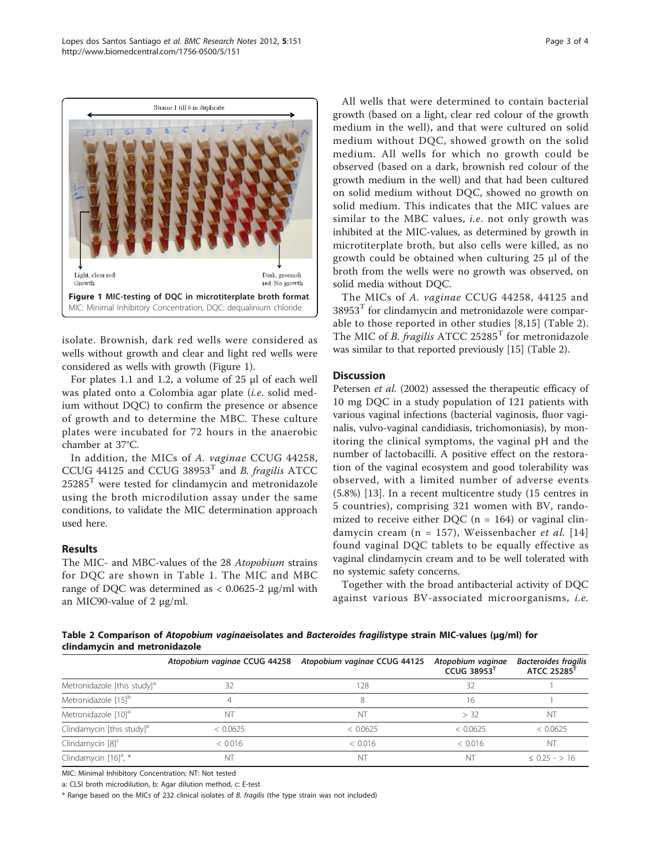

isolate. Brownish, dark red wells were considered as wells without growth and clear and light red wells were considered as wells with growth (Figure 1).

For plates 1.1 and 1.2, a volume of 25 μl of each well was plated onto a Colombia agar plate (i.e. solid medium without DQC) to confirm the presence or absence of growth and to determine the MBC. These culture plates were incubated for 72 hours in the anaerobic chamber at 37°C.

In addition, the MICs of A. vaginae CCUG 44258, CCUG 44125 and CCUG 38953<sup>T</sup> and *B. fragilis* ATCC  $25285<sup>T</sup>$  were tested for clindamycin and metronidazole using the broth microdilution assay under the same conditions, to validate the MIC determination approach used here.

# Results

The MIC- and MBC-values of the 28 Atopobium strains for DQC are shown in Table [1](#page-1-0). The MIC and MBC range of DQC was determined as < 0.0625-2 μg/ml with an MIC90-value of 2 μg/ml.

All wells that were determined to contain bacterial growth (based on a light, clear red colour of the growth medium in the well), and that were cultured on solid medium without DQC, showed growth on the solid medium. All wells for which no growth could be observed (based on a dark, brownish red colour of the growth medium in the well) and that had been cultured on solid medium without DQC, showed no growth on solid medium. This indicates that the MIC values are similar to the MBC values, *i.e.* not only growth was inhibited at the MIC-values, as determined by growth in microtiterplate broth, but also cells were killed, as no growth could be obtained when culturing 25 μl of the broth from the wells were no growth was observed, on solid media without DQC.

The MICs of A. vaginae CCUG 44258, 44125 and  $38953<sup>T</sup>$  for clindamycin and metronidazole were comparable to those reported in other studies [[8,15](#page-3-0)] (Table 2). The MIC of *B. fragilis* ATCC 25285<sup>T</sup> for metronidazole was similar to that reported previously [[15\]](#page-3-0) (Table 2).

## **Discussion**

Petersen et al. (2002) assessed the therapeutic efficacy of 10 mg DQC in a study population of 121 patients with various vaginal infections (bacterial vaginosis, fluor vaginalis, vulvo-vaginal candidiasis, trichomoniasis), by monitoring the clinical symptoms, the vaginal pH and the number of lactobacilli. A positive effect on the restoration of the vaginal ecosystem and good tolerability was observed, with a limited number of adverse events (5.8%) [[13\]](#page-3-0). In a recent multicentre study (15 centres in 5 countries), comprising 321 women with BV, randomized to receive either DQC ( $n = 164$ ) or vaginal clin-damycin cream (n = 157), Weissenbacher et al. [[14](#page-3-0)] found vaginal DQC tablets to be equally effective as vaginal clindamycin cream and to be well tolerated with no systemic safety concerns.

Together with the broad antibacterial activity of DQC against various BV-associated microorganisms, i.e.

Table 2 Comparison of Atopobium vaginaeisolates and Bacteroides fragilistype strain MIC-values (μg/ml) for clindamycin and metronidazole

|                                         |          | Atopobium vaginae CCUG 44258 Atopobium vaginae CCUG 44125 | Atopobium vaginae<br>CCUG 38953 | <b>Bacteroides fragilis</b><br>ATCC 25285 |
|-----------------------------------------|----------|-----------------------------------------------------------|---------------------------------|-------------------------------------------|
| Metronidazole [this study] <sup>a</sup> | 32       | 128                                                       | 32                              |                                           |
| Metronidazole [15] <sup>b</sup>         |          |                                                           | 16                              |                                           |
| Metronidazole [10] <sup>a</sup>         | NΊ       | N <sup>1</sup>                                            | > 32                            |                                           |
| Clindamycin [this study] <sup>a</sup>   | < 0.0625 | < 0.0625                                                  | < 0.0625                        | < 0.0625                                  |
| Clindamycin $[8]^\mathsf{C}$            | < 0.016  | < 0.016                                                   | < 0.016                         | NT                                        |
| Clindamycin [16] <sup>a</sup> , *       | ΝT       | N <sub>1</sub>                                            | NT                              | $< 0.25 - 16$                             |

MIC: Minimal Inhibitory Concentration; NT: Not tested

a: CLSI broth microdilution, b: Agar dilution method, c: E-test

\* Range based on the MICs of 232 clinical isolates of B. fragilis (the type strain was not included)